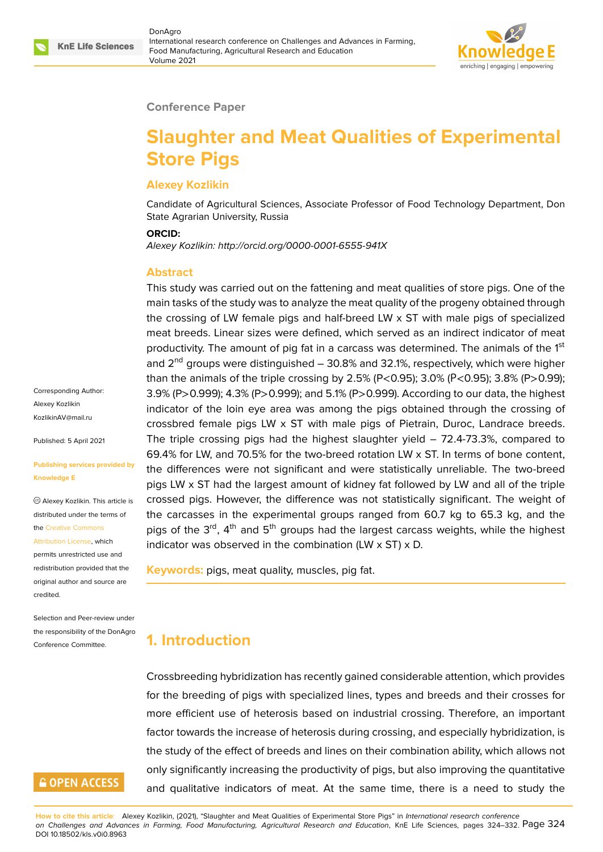

#### **Conference Paper**

# **Slaughter and Meat Qualities of Experimental Store Pigs**

#### **Alexey Kozlikin**

Candidate of Agricultural Sciences, Associate Professor of Food Technology Department, Don State Agrarian University, Russia

#### **ORCID:**

*Alexey Kozlikin: http://orcid.org/0000-0001-6555-941X*

#### **Abstract**

This study was carried out on the fattening and meat qualities of store pigs. One of the main tasks of the study was to analyze the meat quality of the progeny obtained through the crossing of LW female pigs and half-breed LW x ST with male pigs of specialized meat breeds. Linear sizes were defined, which served as an indirect indicator of meat productivity. The amount of pig fat in a carcass was determined. The animals of the 1<sup>st</sup> and  $2^{nd}$  groups were distinguished  $-30.8\%$  and 32.1%, respectively, which were higher than the animals of the triple crossing by 2.5% (P<0.95); 3.0% (P<0.95); 3.8% (P>0.99); 3.9% (P>0.999); 4.3% (P>0.999); and 5.1% (P>0.999). According to our data, the highest indicator of the loin eye area was among the pigs obtained through the crossing of crossbred female pigs LW x ST with male pigs of Pietrain, Duroc, Landrace breeds. The triple crossing pigs had the highest slaughter yield – 72.4-73.3%, compared to 69.4% for LW, and 70.5% for the two-breed rotation LW x ST. In terms of bone content, the differences were not significant and were statistically unreliable. The two-breed pigs LW x ST had the largest amount of kidney fat followed by LW and all of the triple crossed pigs. However, the difference was not statistically significant. The weight of the carcasses in the experimental groups ranged from 60.7 kg to 65.3 kg, and the pigs of the  $3<sup>rd</sup>$ , 4<sup>th</sup> and  $5<sup>th</sup>$  groups had the largest carcass weights, while the highest indicator was observed in the combination (LW  $\times$  ST)  $\times$  D.

**Keywords:** pigs, meat quality, muscles, pig fat.

### **1. Introduction**

Crossbreeding hybridization has recently gained considerable attention, which provides for the breeding of pigs with specialized lines, types and breeds and their crosses for more efficient use of heterosis based on industrial crossing. Therefore, an important factor towards the increase of heterosis during crossing, and especially hybridization, is the study of the effect of breeds and lines on their combination ability, which allows not only significantly increasing the productivity of pigs, but also improving the quantitative and qualitative indicators of meat. At the same time, there is a need to study the

**How to cite this article**: Alexey Kozlikin, (2021), "Slaughter and Meat Qualities of Experimental Store Pigs" in *International research conference on Challenges and Advances in Farming, Food Manufacturing, Agricultural Research and Education*, KnE Life Sciences, pages 324–332. Page 324 DOI 10.18502/kls.v0i0.8963

Corresponding Author: Alexey Kozlikin KozlikinAV@mail.ru

Published: 5 April 2021

#### **[Publishing services](mailto:KozlikinAV@mail.ru) provided by Knowledge E**

Alexey Kozlikin. This article is distributed under the terms of the Creative Commons

permits unrestricted use and redistribution provided that the orig[inal author and sou](https://creativecommons.org/licenses/by/4.0/)rce are

Attribution License, which

[credited.](https://creativecommons.org/licenses/by/4.0/)

Selection and Peer-review under the responsibility of the DonAgro Conference Committee.

### **GOPEN ACCESS**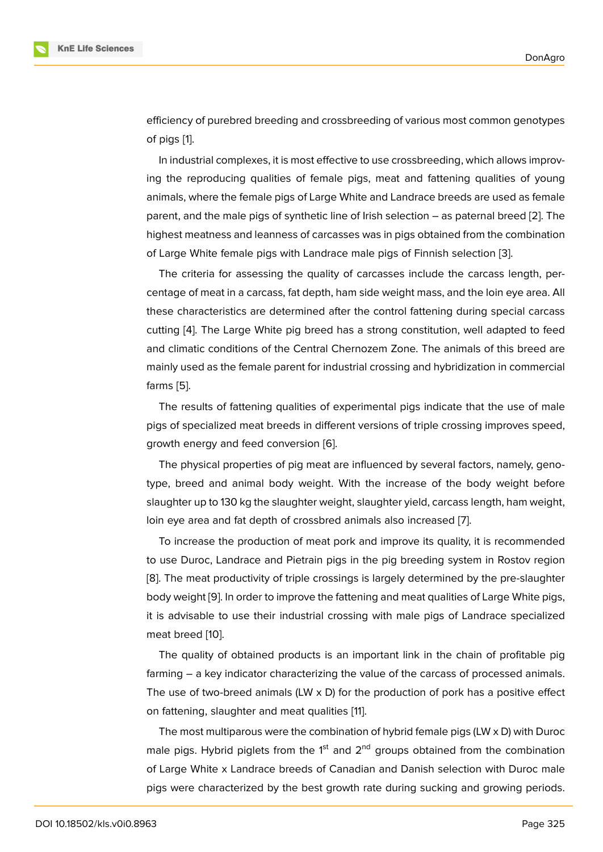efficiency of purebred breeding and crossbreeding of various most common genotypes of pigs [1].

In industrial complexes, it is most effective to use crossbreeding, which allows improving the reproducing qualities of female pigs, meat and fattening qualities of young animals[, w](#page-6-0)here the female pigs of Large White and Landrace breeds are used as female parent, and the male pigs of synthetic line of Irish selection – as paternal breed [2]. The highest meatness and leanness of carcasses was in pigs obtained from the combination of Large White female pigs with Landrace male pigs of Finnish selection [3].

The criteria for assessing the quality of carcasses include the carcass leng[th](#page-7-0), percentage of meat in a carcass, fat depth, ham side weight mass, and the loin eye area. All these characteristics are determined after the control fattening during s[pe](#page-7-1)cial carcass cutting [4]. The Large White pig breed has a strong constitution, well adapted to feed and climatic conditions of the Central Chernozem Zone. The animals of this breed are mainly used as the female parent for industrial crossing and hybridization in commercial farms [5[\].](#page-7-2)

The results of fattening qualities of experimental pigs indicate that the use of male pigs of specialized meat breeds in different versions of triple crossing improves speed, growt[h e](#page-7-3)nergy and feed conversion [6].

The physical properties of pig meat are influenced by several factors, namely, genotype, breed and animal body weight. With the increase of the body weight before slaughter up to 130 kg the slaughter [we](#page-7-4)ight, slaughter yield, carcass length, ham weight, loin eye area and fat depth of crossbred animals also increased [7].

To increase the production of meat pork and improve its quality, it is recommended to use Duroc, Landrace and Pietrain pigs in the pig breeding system in Rostov region [8]. The meat productivity of triple crossings is largely determine[d](#page-7-5) by the pre-slaughter body weight [9]. In order to improve the fattening and meat qualities of Large White pigs, it is advisable to use their industrial crossing with male pigs of Landrace specialized [me](#page-7-6)at breed [10].

The qualit[y](#page-7-7) of obtained products is an important link in the chain of profitable pig farming – a key indicator characterizing the value of the carcass of processed animals. The use of t[wo](#page-7-8)-breed animals (LW  $\times$  D) for the production of pork has a positive effect on fattening, slaughter and meat qualities [11].

The most multiparous were the combination of hybrid female pigs (LW x D) with Duroc male pigs. Hybrid piglets from the  $1<sup>st</sup>$  and  $2<sup>nd</sup>$  groups obtained from the combination of Large White x Landrace breeds of Can[adi](#page-8-0)an and Danish selection with Duroc male pigs were characterized by the best growth rate during sucking and growing periods.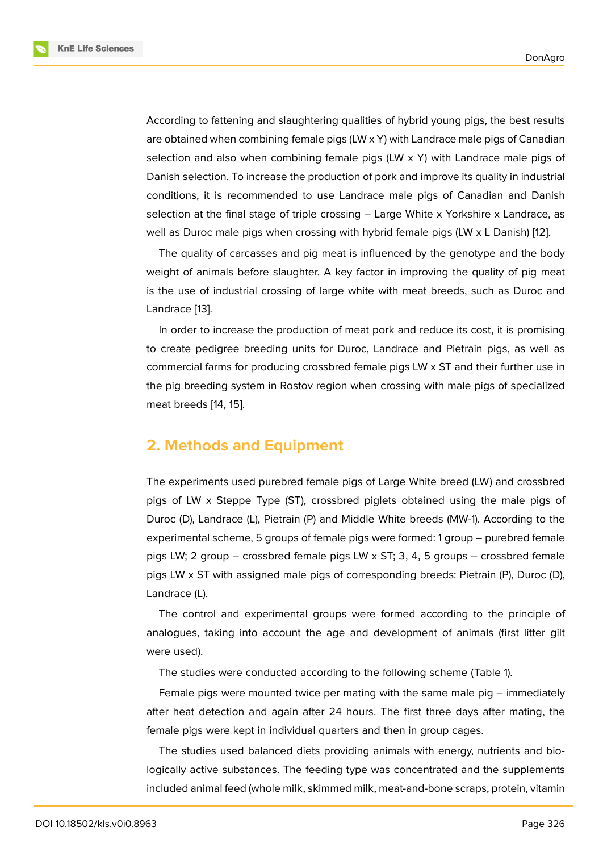According to fattening and slaughtering qualities of hybrid young pigs, the best results are obtained when combining female pigs  $(LW \times Y)$  with Landrace male pigs of Canadian selection and also when combining female pigs (LW x Y) with Landrace male pigs of Danish selection. To increase the production of pork and improve its quality in industrial conditions, it is recommended to use Landrace male pigs of Canadian and Danish selection at the final stage of triple crossing – Large White x Yorkshire x Landrace, as well as Duroc male pigs when crossing with hybrid female pigs (LW x L Danish) [12].

The quality of carcasses and pig meat is influenced by the genotype and the body weight of animals before slaughter. A key factor in improving the quality of pig meat is the use of industrial crossing of large white with meat breeds, such as Dur[oc](#page-8-1) and Landrace [13].

In order to increase the production of meat pork and reduce its cost, it is promising to create pedigree breeding units for Duroc, Landrace and Pietrain pigs, as well as commerci[al f](#page-8-2)arms for producing crossbred female pigs LW x ST and their further use in the pig breeding system in Rostov region when crossing with male pigs of specialized meat breeds [14, 15].

### **2. Metho[ds](#page-8-3) [a](#page-8-4)nd Equipment**

The experiments used purebred female pigs of Large White breed (LW) and crossbred pigs of LW x Steppe Type (ST), crossbred piglets obtained using the male pigs of Duroc (D), Landrace (L), Pietrain (P) and Middle White breeds (MW-1). According to the experimental scheme, 5 groups of female pigs were formed: 1 group – purebred female pigs LW; 2 group – crossbred female pigs LW  $\times$  ST; 3, 4, 5 groups – crossbred female pigs LW x ST with assigned male pigs of corresponding breeds: Pietrain (P), Duroc (D), Landrace (L).

The control and experimental groups were formed according to the principle of analogues, taking into account the age and development of animals (first litter gilt were used).

The studies were conducted according to the following scheme (Table 1).

Female pigs were mounted twice per mating with the same male pig – immediately after heat detection and again after 24 hours. The first three days after mating, the female pigs were kept in individual quarters and then in group cages.

The studies used balanced diets providing animals with energy, nutrients and biologically active substances. The feeding type was concentrated and the supplements included animal feed (whole milk, skimmed milk, meat-and-bone scraps, protein, vitamin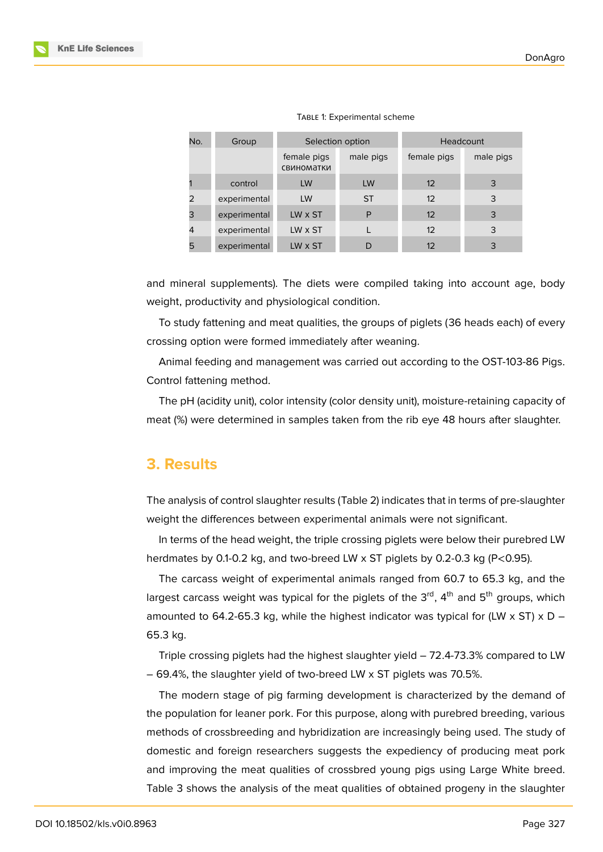| No. | Group        |                           | Selection option | Headcount   |           |  |  |
|-----|--------------|---------------------------|------------------|-------------|-----------|--|--|
|     |              | female pigs<br>свиноматки | male pigs        | female pigs | male pigs |  |  |
|     | control      | LW                        | LW               | 12          | 3         |  |  |
| 2   | experimental | LW                        | <b>ST</b>        | 12          | 3         |  |  |
| 3   | experimental | LW x ST                   | P                | 12          | 3         |  |  |
| 4   | experimental | LW x ST                   |                  | 12          | 3         |  |  |
| 5   | experimental | LW x ST                   |                  | 12          | 3         |  |  |

TABLE 1: Experimental scheme

and mineral supplements). The diets were compiled taking into account age, body weight, productivity and physiological condition.

To study fattening and meat qualities, the groups of piglets (36 heads each) of every crossing option were formed immediately after weaning.

Animal feeding and management was carried out according to the OST-103-86 Pigs. Control fattening method.

The pH (acidity unit), color intensity (color density unit), moisture-retaining capacity of meat (%) were determined in samples taken from the rib eye 48 hours after slaughter.

#### **3. Results**

The analysis of control slaughter results (Table 2) indicates that in terms of pre-slaughter weight the differences between experimental animals were not significant.

In terms of the head weight, the triple crossing piglets were below their purebred LW herdmates by 0.1-0.2 kg, and two-breed LW x ST piglets by 0.2-0.3 kg (P<0.95).

The carcass weight of experimental animals ranged from 60.7 to 65.3 kg, and the largest carcass weight was typical for the piglets of the  $3<sup>rd</sup>$ , 4<sup>th</sup> and  $5<sup>th</sup>$  groups, which amounted to 64.2-65.3 kg, while the highest indicator was typical for (LW  $\times$  ST)  $\times$  D – 65.3 kg.

Triple crossing piglets had the highest slaughter yield – 72.4-73.3% compared to LW – 69.4%, the slaughter yield of two-breed LW x ST piglets was 70.5%.

The modern stage of pig farming development is characterized by the demand of the population for leaner pork. For this purpose, along with purebred breeding, various methods of crossbreeding and hybridization are increasingly being used. The study of domestic and foreign researchers suggests the expediency of producing meat pork and improving the meat qualities of crossbred young pigs using Large White breed. Table 3 shows the analysis of the meat qualities of obtained progeny in the slaughter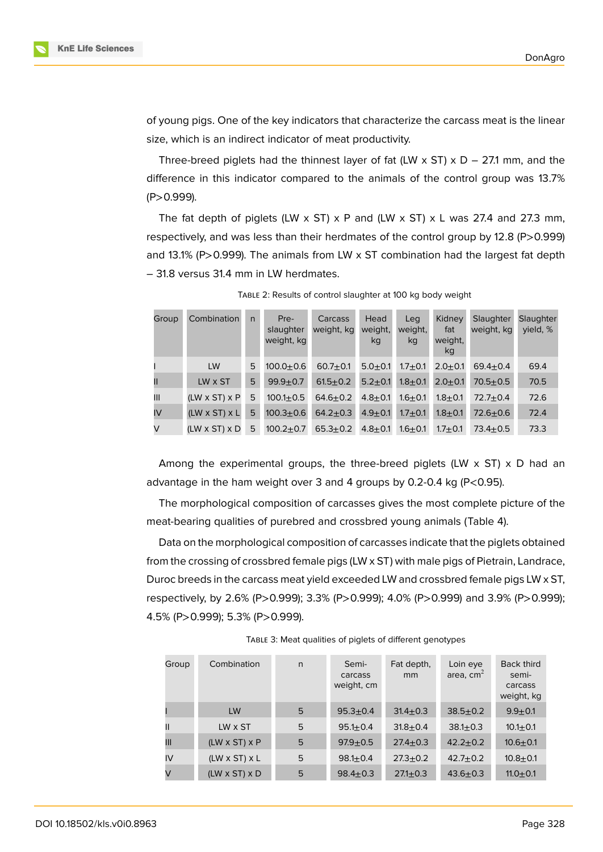of young pigs. One of the key indicators that characterize the carcass meat is the linear size, which is an indirect indicator of meat productivity.

Three-breed piglets had the thinnest layer of fat (LW  $\times$  ST)  $\times$  D – 27.1 mm, and the difference in this indicator compared to the animals of the control group was 13.7% (P>0.999).

The fat depth of piglets (LW  $\times$  ST)  $\times$  P and (LW  $\times$  ST)  $\times$  L was 27.4 and 27.3 mm, respectively, and was less than their herdmates of the control group by 12.8 (P>0.999) and 13.1% (P>0.999). The animals from LW x ST combination had the largest fat depth – 31.8 versus 31.4 mm in LW herdmates.

| Group | Combination               | $\mathsf{n}$ | Pre-<br>slaughter<br>weight, kg | Carcass<br>weight, kg | Head<br>weight,<br>kg | Leg<br>weight,<br>kg | Kidney<br>fat<br>weight,<br>kg | Slaughter<br>weight, kg | Slaughter<br>vield, % |
|-------|---------------------------|--------------|---------------------------------|-----------------------|-----------------------|----------------------|--------------------------------|-------------------------|-----------------------|
|       | LW                        | 5            | $100.0 + 0.6$                   | $60.7 + 0.1$          | $5.0 + 0.1$           | $1.7 + 0.1$          | $2.0 + 0.1$                    | $69.4 \pm 0.4$          | 69.4                  |
| Ш     | LW x ST                   | 5            | $99.9 + 0.7$                    | $61.5 + 0.2$          | $5.2 + 0.1$           | $1.8 + 0.1$          | $2.0 + 0.1$                    | $70.5 + 0.5$            | 70.5                  |
| III   | $(LW \times ST) \times P$ | 5            | $100.1 + 0.5$                   | $64.6 + 0.2$          | $4.8 + 0.1$           | $1.6 + 0.1$          | $1.8 + 0.1$                    | $72.7 + 0.4$            | 72.6                  |
| IV    | $(LW \times ST) \times L$ | 5            | $100.3 + 0.6$                   | $64.2 + 0.3$          | $4.9 + 0.1$           | $1.7 + 0.1$          | $1.8 + 0.1$                    | $72.6 + 0.6$            | 72.4                  |
| V     | $(LW \times ST) \times D$ | 5            | $100.2 + 0.7$                   | $65.3 + 0.2$          | $4.8 + 0.1$           | $1.6 + 0.1$          | $1.7 + 0.1$                    | $73.4 \pm 0.5$          | 73.3                  |

TABLE 2: Results of control slaughter at 100 kg body weight

Among the experimental groups, the three-breed piglets (LW  $\times$  ST)  $\times$  D had an advantage in the ham weight over 3 and 4 groups by 0.2-0.4 kg (P<0.95).

The morphological composition of carcasses gives the most complete picture of the meat-bearing qualities of purebred and crossbred young animals (Table 4).

Data on the morphological composition of carcasses indicate that the piglets obtained from the crossing of crossbred female pigs (LW x ST) with male pigs of Pietrain, Landrace, Duroc breeds in the carcass meat yield exceeded LW and crossbred female pigs LW x ST, respectively, by 2.6% (P>0.999); 3.3% (P>0.999); 4.0% (P>0.999) and 3.9% (P>0.999); 4.5% (P>0.999); 5.3% (P>0.999).

| TABLE 3: Meat qualities of piglets of different genotypes |  |
|-----------------------------------------------------------|--|
|                                                           |  |

| Group | Combination               | $\mathsf{n}$ | Semi-<br>carcass<br>weight, cm | Fat depth,<br>mm | Loin eye<br>area, $cm2$ | <b>Back third</b><br>semi-<br>carcass<br>weight, kg |
|-------|---------------------------|--------------|--------------------------------|------------------|-------------------------|-----------------------------------------------------|
|       | LW                        | 5            | $95.3 + 0.4$                   | $31.4 \pm 0.3$   | $38.5 + 0.2$            | $9.9 + 0.1$                                         |
|       | LW x ST                   | 5            | $95.1 \pm 0.4$                 | $31.8 + 0.4$     | $38.1 \pm 0.3$          | $10.1 + 0.1$                                        |
| Ш     | $(LW \times ST) \times P$ | 5            | $97.9 + 0.5$                   | $27.4 \pm 0.3$   | $42.2 + 0.2$            | $10.6 + 0.1$                                        |
| IV    | $(LW \times ST) \times L$ | 5            | $98.1 \pm 0.4$                 | $27.3 + 0.2$     | $42.7 + 0.2$            | $10.8 + 0.1$                                        |
| V     | $(LW \times ST) \times D$ | 5            | $98.4 \pm 0.3$                 | $27.1 \pm 0.3$   | $43.6 + 0.3$            | 11.0 $\pm$ 0.1                                      |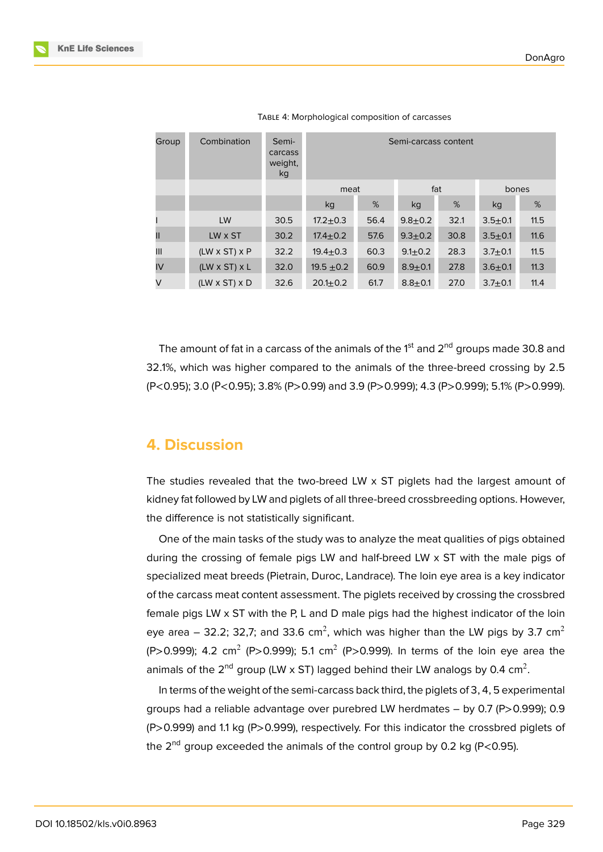| Group | Combination               | Semi-<br>carcass<br>weight,<br>kg | Semi-carcass content |      |               |      |             |      |
|-------|---------------------------|-----------------------------------|----------------------|------|---------------|------|-------------|------|
|       |                           |                                   | meat                 |      | fat           |      | bones       |      |
|       |                           |                                   | kg                   | %    | kg            | %    | kg          | %    |
|       | LW                        | 30.5                              | $17.2 + 0.3$         | 56.4 | $9.8 + 0.2$   | 32.1 | $3.5 + 0.1$ | 11.5 |
| Ш     | LW x ST                   | 30.2                              | $17.4 \pm 0.2$       | 57.6 | $9.3 + 0.2$   | 30.8 | $3.5 + 0.1$ | 11.6 |
| III   | $(LW \times ST) \times P$ | 32.2                              | $19.4 \pm 0.3$       | 60.3 | $9.1 \pm 0.2$ | 28.3 | $3.7 + 0.1$ | 11.5 |
| IV    | $(LW \times ST) \times L$ | 32.0                              | $19.5 \pm 0.2$       | 60.9 | $8.9 + 0.1$   | 27.8 | $3.6 + 0.1$ | 11.3 |
| V     | $(LW \times ST) \times D$ | 32.6                              | $20.1 + 0.2$         | 61.7 | $8.8 + 0.1$   | 27.0 | $3.7 + 0.1$ | 11.4 |

TABLE 4: Morphological composition of carcasses

The amount of fat in a carcass of the animals of the  $1<sup>st</sup>$  and  $2<sup>nd</sup>$  groups made 30.8 and 32.1%, which was higher compared to the animals of the three-breed crossing by 2.5 (P<0.95); 3.0 (Р<0.95); 3.8% (P>0.99) and 3.9 (P>0.999); 4.3 (P>0.999); 5.1% (P>0.999).

### **4. Discussion**

The studies revealed that the two-breed LW x ST piglets had the largest amount of kidney fat followed by LW and piglets of all three-breed crossbreeding options. However, the difference is not statistically significant.

One of the main tasks of the study was to analyze the meat qualities of pigs obtained during the crossing of female pigs LW and half-breed LW x ST with the male pigs of specialized meat breeds (Pietrain, Duroc, Landrace). The loin eye area is a key indicator of the carcass meat content assessment. The piglets received by crossing the crossbred female pigs LW  $\times$  ST with the P, L and D male pigs had the highest indicator of the loin eye area – 32.2; 32,7; and 33.6 cm<sup>2</sup>, which was higher than the LW pigs by 3.7 cm<sup>2</sup> (P>0.999); 4.2 cm<sup>2</sup> (P>0.999); 5.1 cm<sup>2</sup> (P>0.999). In terms of the loin eye area the animals of the 2<sup>nd</sup> group (LW x ST) lagged behind their LW analogs by 0.4 cm<sup>2</sup>.

In terms of the weight of the semi-carcass back third, the piglets of 3, 4, 5 experimental groups had a reliable advantage over purebred LW herdmates – by 0.7 (P>0.999); 0.9 (P>0.999) and 1.1 kg (P>0.999), respectively. For this indicator the crossbred piglets of the  $2<sup>nd</sup>$  group exceeded the animals of the control group by 0.2 kg (P<0.95).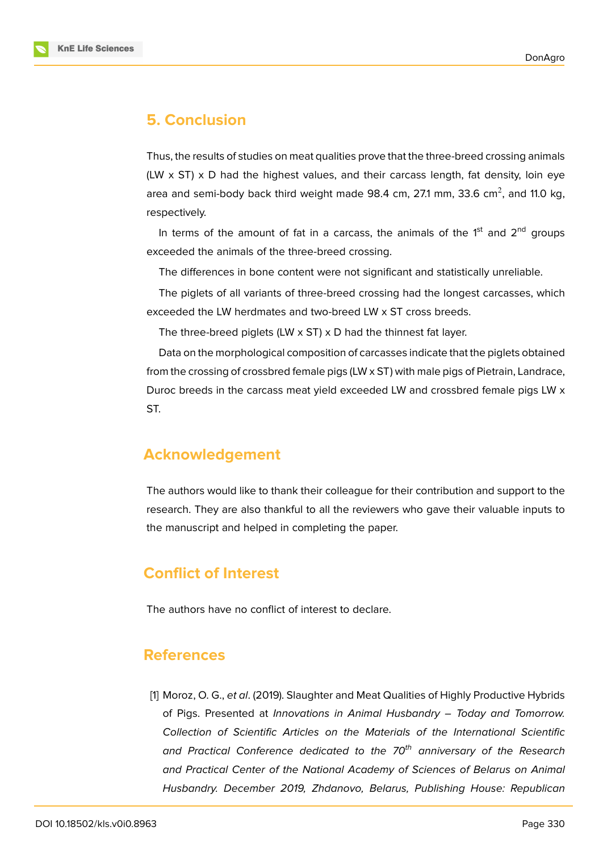

## **5. Conclusion**

Thus, the results of studies on meat qualities prove that the three-breed crossing animals (LW  $\times$  ST)  $\times$  D had the highest values, and their carcass length, fat density, loin eye area and semi-body back third weight made 98.4 cm, 27.1 mm, 33.6 cm $^2$ , and 11.0 kg, respectively.

In terms of the amount of fat in a carcass, the animals of the  $1<sup>st</sup>$  and  $2<sup>nd</sup>$  groups exceeded the animals of the three-breed crossing.

The differences in bone content were not significant and statistically unreliable.

The piglets of all variants of three-breed crossing had the longest carcasses, which exceeded the LW herdmates and two-breed LW x ST cross breeds.

The three-breed piglets (LW x ST) x D had the thinnest fat layer.

Data on the morphological composition of carcasses indicate that the piglets obtained from the crossing of crossbred female pigs (LW x ST) with male pigs of Pietrain, Landrace, Duroc breeds in the carcass meat yield exceeded LW and crossbred female pigs LW x ST.

# **Acknowledgement**

The authors would like to thank their colleague for their contribution and support to the research. They are also thankful to all the reviewers who gave their valuable inputs to the manuscript and helped in completing the paper.

# **Conflict of Interest**

The authors have no conflict of interest to declare.

### **References**

<span id="page-6-0"></span>[1] Moroz, O. G., *et al*. (2019). Slaughter and Meat Qualities of Highly Productive Hybrids of Pigs. Presented at *Innovations in Animal Husbandry – Today and Tomorrow. Collection of Scientific Articles on the Materials of the International Scientific and Practical Conference dedicated to the 70th anniversary of the Research and Practical Center of the National Academy of Sciences of Belarus on Animal Husbandry. December 2019, Zhdanovo, Belarus, Publishing House: Republican*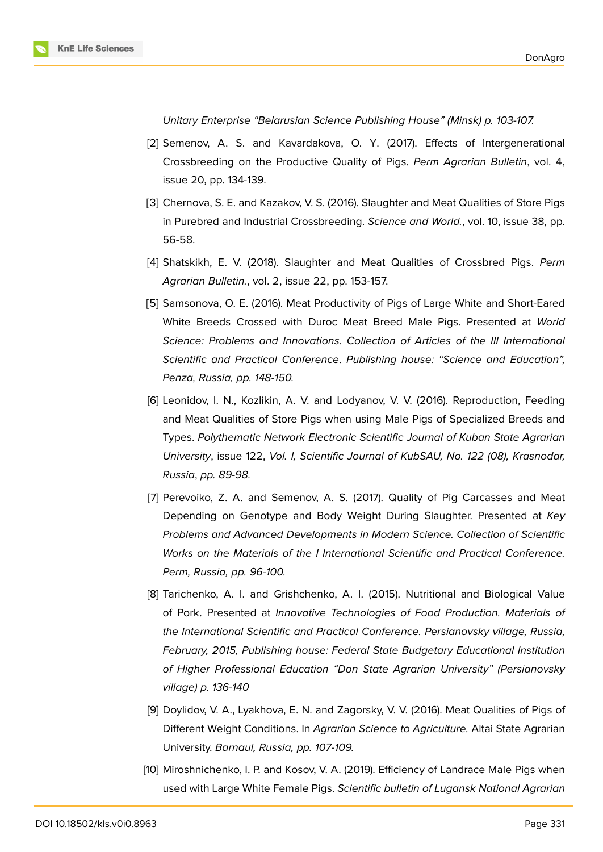

*Unitary Enterprise "Belarusian Science Publishing House" (Minsk) p. 103-107.*

- <span id="page-7-0"></span>[2] Semenov, A. S. and Kavardakova, O. Y. (2017). Effects of Intergenerational Crossbreeding on the Productive Quality of Pigs. *Perm Agrarian Bulletin*, vol. 4, issue 20, pp. 134-139.
- <span id="page-7-1"></span>[3] Chernova, S. E. and Kazakov, V. S. (2016). Slaughter and Meat Qualities of Store Pigs in Purebred and Industrial Crossbreeding. *Science and World.*, vol. 10, issue 38, pp. 56-58.
- <span id="page-7-2"></span>[4] Shatskikh, E. V. (2018). Slaughter and Meat Qualities of Crossbred Pigs. *Perm Agrarian Bulletin.*, vol. 2, issue 22, pp. 153-157.
- <span id="page-7-3"></span>[5] Samsonova, O. E. (2016). Meat Productivity of Pigs of Large White and Short-Eared White Breeds Crossed with Duroc Meat Breed Male Pigs. Presented at *World Science: Problems and Innovations. Collection of Articles of the III International Scientific and Practical Conference*. *Publishing house: "Science and Education", Penza, Russia, pp. 148-150.*
- <span id="page-7-4"></span>[6] Leonidov, I. N., Kozlikin, A. V. and Lodyanov, V. V. (2016). Reproduction, Feeding and Meat Qualities of Store Pigs when using Male Pigs of Specialized Breeds and Types. *Polythematic Network Electronic Scientific Journal of Kuban State Agrarian University*, issue 122, *Vol. I, Scientific Journal of KubSAU, No. 122 (08), Krasnodar, Russia*, *pp. 89-98.*
- <span id="page-7-5"></span>[7] Perevoiko, Z. A. and Semenov, A. S. (2017). Quality of Pig Carcasses and Meat Depending on Genotype and Body Weight During Slaughter. Presented at *Key Problems and Advanced Developments in Modern Science. Collection of Scientific Works on the Materials of the I International Scientific and Practical Conference. Perm, Russia, pp. 96-100.*
- <span id="page-7-6"></span>[8] Tarichenko, A. I. and Grishchenko, A. I. (2015). Nutritional and Biological Value of Pork. Presented at *Innovative Technologies of Food Production. Materials of the International Scientific and Practical Conference. Persianovsky village, Russia, February, 2015, Publishing house: Federal State Budgetary Educational Institution of Higher Professional Education "Don State Agrarian University" (Persianovsky village) p. 136-140*
- <span id="page-7-7"></span>[9] Doylidov, V. A., Lyakhova, E. N. and Zagorsky, V. V. (2016). Meat Qualities of Pigs of Different Weight Conditions. In *Agrarian Science to Agriculture.* Altai State Agrarian University. *Barnaul, Russia, pp. 107-109.*
- <span id="page-7-8"></span>[10] Miroshnichenko, I. P. and Kosov, V. A. (2019). Efficiency of Landrace Male Pigs when used with Large White Female Pigs. *Scientific bulletin of Lugansk National Agrarian*